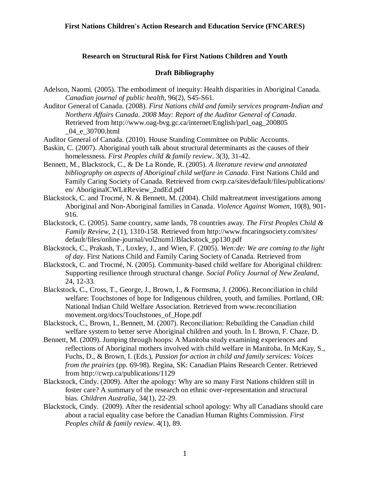# **Research on Structural Risk for First Nations Children and Youth**

### **Draft Bibliography**

- Adelson, Naomi. (2005). The embodiment of inequity: Health disparities in Aboriginal Canada. *Canadian journal of public health*, 96(2), S45-S61.
- Auditor General of Canada. (2008). *First Nations child and family services program-Indian and Northern Affairs Canada*. *2008 May: Report of the Auditor General of Canada*. Retrieved from http://www.oag-bvg.gc.ca/internet/English/parl\_oag\_200805 \_04\_e\_30700.html

Auditor General of Canada. (2010). House Standing Committee on Public Accounts.

- Baskin, C. (2007). Aboriginal youth talk about structural determinants as the causes of their homelessness. *First Peoples child & family review*. 3(3), 31-42.
- Bennett, M., Blackstock, C., & De La Ronde, R. (2005). *A literature review and annotated bibliography on aspects of Aboriginal child welfare in Canada*. First Nations Child and Family Caring Society of Canada. Retrieved from cwrp.ca/sites/default/files/publications/ en/ AboriginalCWLitReview\_2ndEd.pdf
- Blackstock, C. and Trocmé, N. & Bennett, M. (2004). Child maltreatment investigations among Aboriginal and Non-Aboriginal families in Canada. *Violence Against Women*, 10(8), 901- 916.
- Blackstock, C. (2005). Same country, same lands, 78 countries away. *The First Peoples Child & Family Review, 2 (1), 1310-158. Retrieved from http://www.fncaringsociety.com/sites/* default/files/online-journal/vol2num1/Blackstock\_pp130.pdf
- Blackstock, C., Prakash, T., Loxley, J., and Wien, F. (2005). *Wen:de: We are coming to the light of day*. First Nations Child and Family Caring Society of Canada. Retrieved from
- Blackstock, C. and Trocmé, N. (2005). Community-based child welfare for Aboriginal children: Supporting resilience through structural change. *Social Policy Journal of New Zealand*, 24, 12-33.
- Blackstock, C., Cross, T., George, J., Brown, I., & Formsma, J. (2006). Reconciliation in child welfare: Touchstones of hope for Indigenous children, youth, and families. Portland, OR: National Indian Child Welfare Association. Retrieved from www.reconciliation movement.org/docs/Touchstones\_of\_Hope.pdf
- Blackstock, C., Brown, I., Bennett, M. (2007). Reconciliation: Rebuilding the Canadian child welfare system to better serve Aboriginal children and youth. In I. Brown, F. Chaze, D.
- Bennett, M. (2009). Jumping through hoops: A Manitoba study examining experiences and reflections of Aboriginal mothers involved with child welfare in Manitoba. In McKay, S., Fuchs, D., & Brown, I. (Eds.), *Passion for action in child and family services: Voices from the prairies* (pp. 69-98). Regina, SK: Canadian Plains Research Center. Retrieved from http://cwrp.ca/publications/1129
- Blackstock, Cindy. (2009). After the apology: Why are so many First Nations children still in foster care? A summary of the research on ethnic over-representation and structural bias. *Children Australia*, 34(1), 22-29.
- Blackstock, Cindy. (2009). After the residential school apology: Why all Canadians should care about a racial equality case before the Canadian Human Rights Commission. *First Peoples child & family review*. 4(1), 89.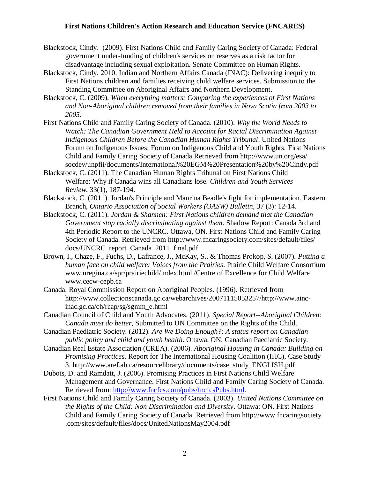- Blackstock, Cindy. (2009). First Nations Child and Family Caring Society of Canada: Federal government under-funding of children's services on reserves as a risk factor for disadvantage including sexual exploitation. Senate Committee on Human Rights.
- Blackstock, Cindy. 2010. Indian and Northern Affairs Canada (INAC): Delivering inequity to First Nations children and families receiving child welfare services. Submission to the Standing Committee on Aboriginal Affairs and Northern Development.
- Blackstock, C. (2009). *When everything matters: Comparing the experiences of First Nations and Non-Aboriginal children removed from their families in Nova Scotia from 2003 to 2005*.
- First Nations Child and Family Caring Society of Canada. (2010). *Why the World Needs to Watch: The Canadian Government Held to Account for Racial Discrimination Against Indigenous Children Before the Canadian Human Rights Tribunal*. United Nations Forum on Indigenous Issues: Forum on Indigenous Child and Youth Rights. First Nations Child and Family Caring Society of Canada Retrieved from http://www.un.org/esa/ socdev/unpfii/documents/International%20EGM%20Presentation%20by%20Cindy.pdf
- Blackstock, C. (2011). The Canadian Human Rights Tribunal on First Nations Child Welfare: Why if Canada wins all Canadians lose. *Children and Youth Services Review*. 33(1), 187-194.
- Blackstock, C. (2011). Jordan's Principle and Maurina Beadle's fight for implementation. Eastern Branch, *Ontario Association of Social Workers (OASW) Bulletin*, 37 (3): 12-14.
- Blackstock, C. (2011). *Jordan & Shannen: First Nations children demand that the Canadian Government stop racially discriminating against them*. Shadow Report: Canada 3rd and 4th Periodic Report to the UNCRC. Ottawa, ON. First Nations Child and Family Caring Society of Canada. Retrieved from http://www.fncaringsociety.com/sites/default/files/ docs/UNCRC\_report\_Canada\_2011\_final.pdf
- Brown, I., Chaze, F., Fuchs, D., Lafrance, J., McKay, S., & Thomas Prokop, S. (2007). *Putting a human face on child welfare: Voices from the Prairies*. Prairie Child Welfare Consortium www.uregina.ca/spr/prairiechild/index.html /Centre of Excellence for Child Welfare www.cecw-cepb.ca
- Canada. Royal Commission Report on Aboriginal Peoples. (1996). Retrieved from http://www.collectionscanada.gc.ca/webarchives/20071115053257/http://www.aincinac.gc.ca/ch/rcap/sg/sgmm\_e.html
- Canadian Council of Child and Youth Advocates. (2011). *Special Report--Aboriginal Children: Canada must do better*, Submitted to UN Committee on the Rights of the Child.
- Canadian Paediatric Society. (2012). *Are We Doing Enough?: A status report on Canadian public policy and child and youth health*. Ottawa, ON. Canadian Paediatric Society.
- Canadian Real Estate Association (CREA). (2006). *Aboriginal Housing in Canada: Building on Promising Practices*. Report for The International Housing Coalition (IHC), Case Study 3. http://www.aref.ab.ca/resourcelibrary/documents/case\_study\_ENGLISH.pdf
- Dubois, D. and Ramdatt, J. (2006). Promising Practices in First Nations Child Welfare Management and Governance. First Nations Child and Family Caring Society of Canada. Retrieved from: [http://www.fncfcs.com/pubs/fncfcsPubs.html.](http://www.fncfcs.com/pubs/fncfcsPubs.html)
- First Nations Child and Family Caring Society of Canada. (2003). *United Nations Committee on the Rights of the Child: Non Discrimination and Diversity*. Ottawa: ON. First Nations Child and Family Caring Society of Canada. Retrieved from http://www.fncaringsociety .com/sites/default/files/docs/UnitedNationsMay2004.pdf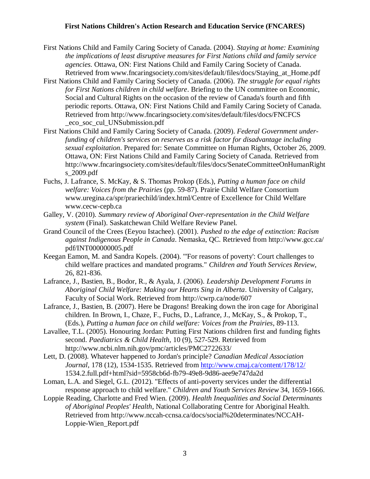- First Nations Child and Family Caring Society of Canada. (2004). *Staying at home: Examining the implications of least disruptive measures for First Nations child and family service agencies*. Ottawa, ON: First Nations Child and Family Caring Society of Canada. Retrieved from www.fncaringsociety.com/sites/default/files/docs/Staying\_at\_Home.pdf
- First Nations Child and Family Caring Society of Canada. (2006). *The struggle for equal rights for First Nations children in child welfare*. Briefing to the UN committee on Economic, Social and Cultural Rights on the occasion of the review of Canada's fourth and fifth periodic reports. Ottawa, ON: First Nations Child and Family Caring Society of Canada. Retrieved from http://www.fncaringsociety.com/sites/default/files/docs/FNCFCS \_eco\_soc\_cul\_UNSubmission.pdf
- First Nations Child and Family Caring Society of Canada. (2009). *Federal Government underfunding of children's services on reserves as a risk factor for disadvantage including sexual exploitation*. Prepared for: Senate Committee on Human Rights, October 26, 2009. Ottawa, ON: First Nations Child and Family Caring Society of Canada. Retrieved from http://www.fncaringsociety.com/sites/default/files/docs/SenateCommitteeOnHumanRight s\_2009.pdf
- Fuchs, J. Lafrance, S. McKay, & S. Thomas Prokop (Eds.), *Putting a human face on child welfare: Voices from the Prairies* (pp. 59-87). Prairie Child Welfare Consortium www.uregina.ca/spr/prariechild/index.html/Centre of Excellence for Child Welfare www.cecw-cepb.ca
- Galley, V. (2010). *Summary review of Aboriginal Over-representation in the Child Welfare system* (Final). Saskatchewan Child Welfare Review Panel.
- Grand Council of the Crees (Eeyou Istachee). (2001). *Pushed to the edge of extinction: Racism against Indigenous People in Canada*. Nemaska, QC. Retrieved from http://www.gcc.ca/ pdf/INT000000005.pdf
- Keegan Eamon, M. and Sandra Kopels. (2004). "'For reasons of poverty': Court challenges to child welfare practices and mandated programs." *Children and Youth Services Review*, 26, 821-836.
- Lafrance, J., Bastien, B., Bodor, R., & Ayala, J. (2006). *Leadership Development Forums in Aboriginal Child Welfare: Making our Hearts Sing in Alberta*. University of Calgary, Faculty of Social Work. Retrieved from http://cwrp.ca/node/607
- Lafrance, J., Bastien, B. (2007). Here be Dragons! Breaking down the iron cage for Aboriginal children. In Brown, I., Chaze, F., Fuchs, D., Lafrance, J., McKay, S., & Prokop, T., (Eds.), *Putting a human face on child welfare: Voices from the Prairies*, 89-113.
- Lavallee, T.L. (2005). Honouring Jordan: Putting First Nations children first and funding fights second. *Paediatrics & Child Health*, 10 (9), 527-529. Retrieved from http://www.ncbi.nlm.nih.gov/pmc/articles/PMC2722633/
- Lett, D. (2008). Whatever happened to Jordan's principle? *Canadian Medical Association Journal*, 178 (12), 1534-1535. Retrieved from<http://www.cmaj.ca/content/178/12/> 1534.2.full.pdf+html?sid=5958cb6d-fb79-49e8-9d86-aee9e747da2d
- Loman, L.A. and Siegel, G.L. (2012). "Effects of anti-poverty services under the differential response approach to child welfare." *Children and Youth Services Review* 34, 1659-1666.
- Loppie Reading, Charlotte and Fred Wien. (2009). *Health Inequalities and Social Determinants of Aboriginal Peoples' Health*, National Collaborating Centre for Aboriginal Health. Retrieved from http://www.nccah-ccnsa.ca/docs/social%20determinates/NCCAH-Loppie-Wien\_Report.pdf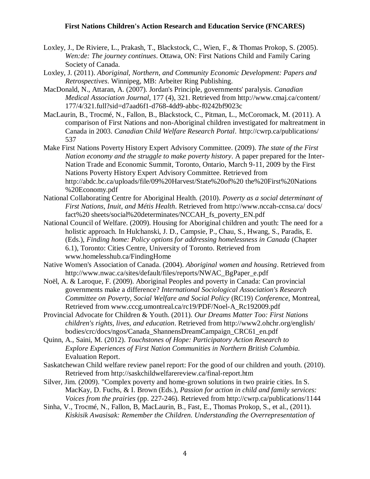- Loxley, J., De Riviere, L., Prakash, T., Blackstock, C., Wien, F., & Thomas Prokop, S. (2005). *Wen:de: The journey continues*. Ottawa, ON: First Nations Child and Family Caring Society of Canada.
- Loxley, J. (2011). *Aboriginal, Northern, and Community Economic Development: Papers and Retrospectives*. Winnipeg, MB: Arbeiter Ring Publishing.
- MacDonald, N., Attaran, A. (2007). Jordan's Principle, governments' paralysis. *Canadian Medical Association Journal*, 177 (4), 321. Retrieved from http://www.cmaj.ca/content/ 177/4/321.full?sid=d7aad6f1-d768-4dd9-abbc-f0242bf9023c
- MacLaurin, B., Trocmé, N., Fallon, B., Blackstock, C., Pitman, L., McCoromack, M. (2011). A comparison of First Nations and non-Aboriginal children investigated for maltreatment in Canada in 2003. *Canadian Child Welfare Research Portal*. http://cwrp.ca/publications/ 537
- Make First Nations Poverty History Expert Advisory Committee. (2009). *The state of the First Nation economy and the struggle to make poverty history*. A paper prepared for the Inter-Nation Trade and Economic Summit, Toronto, Ontario, March 9-11, 2009 by the First Nations Poverty History Expert Advisory Committee. Retrieved from http://abdc.bc.ca/uploads/file/09%20Harvest/State%20of%20 the%20First%20Nations %20Economy.pdf
- National Collaborating Centre for Aboriginal Health. (2010). *Poverty as a social determinant of First Nations, Inuit, and Métis Health*. Retrieved from http://www.nccah-ccnsa.ca/ docs/ fact%20 sheets/social%20determinates/NCCAH\_fs\_poverty\_EN.pdf
- National Council of Welfare. (2009). Housing for Aboriginal children and youth: The need for a holistic approach. In Hulchanski, J. D., Campsie, P., Chau, S., Hwang, S., Paradis, E. (Eds.), *Finding home: Policy options for addressing homelessness in Canada* (Chapter 6.1), Toronto: Cities Centre, University of Toronto. Retrieved from www.homelesshub.ca/FindingHome
- Native Women's Association of Canada. (2004). *Aboriginal women and housing*. Retrieved from http://www.nwac.ca/sites/default/files/reports/NWAC\_BgPaper\_e.pdf
- Noël, A. & Laroque, F. (2009). Aboriginal Peoples and poverty in Canada: Can provincial governments make a difference? *International Sociological Association's Research Committee on Poverty, Social Welfare and Social Policy* (RC19) *Conference*, Montreal, Retrieved from www.cccg.umontreal.ca/rc19/PDF/Noel-A\_Rc192009.pdf
- Provincial Advocate for Children & Youth. (2011). *Our Dreams Matter Too: First Nations children's rights, lives, and education*. Retrieved from http://www2.ohchr.org/english/ bodies/crc/docs/ngos/Canada\_ShannensDreamCampaign\_CRC61\_en.pdf
- Quinn, A., Saini, M. (2012). *Touchstones of Hope: Participatory Action Research to Explore Experiences of First Nation Communities in Northern British Columbia.* Evaluation Report.
- Saskatchewan Child welfare review panel report: For the good of our children and youth. (2010). Retrieved from http://saskchildwelfarereview.ca/final-report.htm
- Silver, Jim. (2009). "Complex poverty and home-grown solutions in two prairie cities. In S. MacKay, D. Fuchs, & I. Brown (Eds.), *Passion for action in child and family services: Voices from the prairies* (pp. 227-246). Retrieved from http://cwrp.ca/publications/1144
- Sinha, V., Trocmé, N., Fallon, B, MacLaurin, B., Fast, E., Thomas Prokop, S., et al., (2011). *Kiskisik Awasisak: Remember the Children. Understanding the Overrepresentation of*